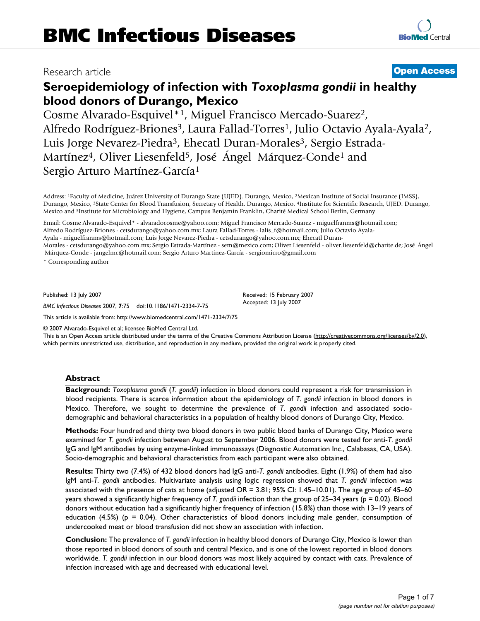## Research article **[Open Access](http://www.biomedcentral.com/info/about/charter/)**

# **Seroepidemiology of infection with** *Toxoplasma gondii* **in healthy blood donors of Durango, Mexico**

Cosme Alvarado-Esquivel\*1, Miguel Francisco Mercado-Suarez2, Alfredo Rodríguez-Briones<sup>3</sup>, Laura Fallad-Torres<sup>1</sup>, Julio Octavio Ayala-Ayala<sup>2</sup>, Luis Jorge Nevarez-Piedra<sup>3</sup>, Ehecatl Duran-Morales<sup>3</sup>, Sergio Estrada-Martínez<sup>4</sup>, Oliver Liesenfeld<sup>5</sup>, José Ángel Márquez-Conde<sup>1</sup> and Sergio Arturo Martínez-García1

Address: 1Faculty of Medicine, Juárez University of Durango State (UJED). Durango, Mexico, 2Mexican Institute of Social Insurance (IMSS), Durango, Mexico, 3State Center for Blood Transfusion, Secretary of Health. Durango, Mexico, 4Institute for Scientific Research, UJED. Durango, Mexico and 5Institute for Microbiology and Hygiene, Campus Benjamin Franklin, Charité Medical School Berlin, Germany

Email: Cosme Alvarado-Esquivel\* - alvaradocosme@yahoo.com; Miguel Francisco Mercado-Suarez - miguelfranms@hotmail.com; Alfredo Rodríguez-Briones - cetsdurango@yahoo.com.mx; Laura Fallad-Torres - lalis\_f@hotmail.com; Julio Octavio Ayala-Ayala - miguelfranms@hotmail.com; Luis Jorge Nevarez-Piedra - cetsdurango@yahoo.com.mx; Ehecatl Duran-

Morales - cetsdurango@yahoo.com.mx; Sergio Estrada-Martínez - sem@mexico.com; Oliver Liesenfeld - oliver.liesenfeld@charite.de; José Ángel Márquez-Conde - jangelmc@hotmail.com; Sergio Arturo Martínez-García - sergiomicro@gmail.com

> Received: 15 February 2007 Accepted: 13 July 2007

\* Corresponding author

Published: 13 July 2007

*BMC Infectious Diseases* 2007, **7**:75 doi:10.1186/1471-2334-7-75

[This article is available from: http://www.biomedcentral.com/1471-2334/7/75](http://www.biomedcentral.com/1471-2334/7/75)

© 2007 Alvarado-Esquivel et al; licensee BioMed Central Ltd.

This is an Open Access article distributed under the terms of the Creative Commons Attribution License [\(http://creativecommons.org/licenses/by/2.0\)](http://creativecommons.org/licenses/by/2.0), which permits unrestricted use, distribution, and reproduction in any medium, provided the original work is properly cited.

#### **Abstract**

**Background:** *Toxoplasma gondii* (*T. gondii*) infection in blood donors could represent a risk for transmission in blood recipients. There is scarce information about the epidemiology of *T. gondii* infection in blood donors in Mexico. Therefore, we sought to determine the prevalence of *T. gondii* infection and associated sociodemographic and behavioral characteristics in a population of healthy blood donors of Durango City, Mexico.

**Methods:** Four hundred and thirty two blood donors in two public blood banks of Durango City, Mexico were examined for *T. gondii* infection between August to September 2006. Blood donors were tested for anti-*T. gondii* IgG and IgM antibodies by using enzyme-linked immunoassays (Diagnostic Automation Inc., Calabasas, CA, USA). Socio-demographic and behavioral characteristics from each participant were also obtained.

**Results:** Thirty two (7.4%) of 432 blood donors had IgG anti-*T. gondii* antibodies. Eight (1.9%) of them had also IgM anti-*T. gondii* antibodies. Multivariate analysis using logic regression showed that *T. gondii* infection was associated with the presence of cats at home (adjusted OR = 3.81; 95% CI: 1.45–10.01). The age group of 45–60 years showed a significantly higher frequency of *T. gondii* infection than the group of 25–34 years (p = 0.02). Blood donors without education had a significantly higher frequency of infection (15.8%) than those with 13–19 years of education (4.5%) ( $p = 0.04$ ). Other characteristics of blood donors including male gender, consumption of undercooked meat or blood transfusion did not show an association with infection.

**Conclusion:** The prevalence of *T. gondii* infection in healthy blood donors of Durango City, Mexico is lower than those reported in blood donors of south and central Mexico, and is one of the lowest reported in blood donors worldwide. *T. gondii* infection in our blood donors was most likely acquired by contact with cats. Prevalence of infection increased with age and decreased with educational level.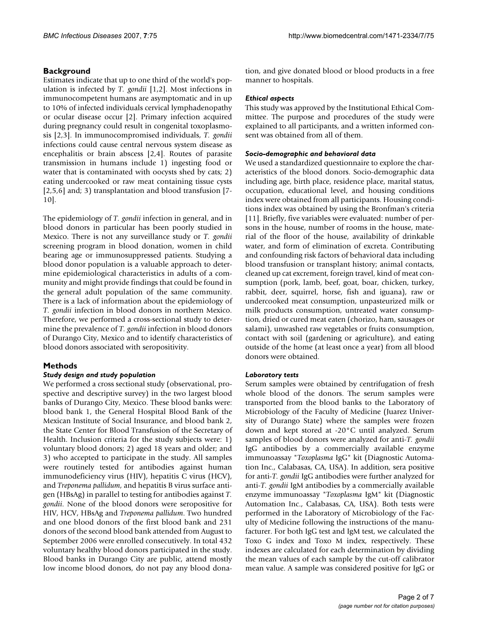#### **Background**

Estimates indicate that up to one third of the world's population is infected by *T. gondii* [1,2]. Most infections in immunocompetent humans are asymptomatic and in up to 10% of infected individuals cervical lymphadenopathy or ocular disease occur [2]. Primary infection acquired during pregnancy could result in congenital toxoplasmosis [2,3]. In immunocompromised individuals, *T. gondii* infections could cause central nervous system disease as encephalitis or brain abscess [2,4]. Routes of parasite transmission in humans include 1) ingesting food or water that is contaminated with oocysts shed by cats; 2) eating undercooked or raw meat containing tissue cysts [2,5,6] and; 3) transplantation and blood transfusion [7- 10].

The epidemiology of *T. gondii* infection in general, and in blood donors in particular has been poorly studied in Mexico. There is not any surveillance study or *T. gondii* screening program in blood donation, women in child bearing age or immunosuppressed patients. Studying a blood donor population is a valuable approach to determine epidemiological characteristics in adults of a community and might provide findings that could be found in the general adult population of the same community. There is a lack of information about the epidemiology of *T. gondii* infection in blood donors in northern Mexico. Therefore, we performed a cross-sectional study to determine the prevalence of *T. gondii* infection in blood donors of Durango City, Mexico and to identify characteristics of blood donors associated with seropositivity.

### **Methods**

#### *Study design and study population*

We performed a cross sectional study (observational, prospective and descriptive survey) in the two largest blood banks of Durango City, Mexico. These blood banks were: blood bank 1, the General Hospital Blood Bank of the Mexican Institute of Social Insurance, and blood bank 2, the State Center for Blood Transfusion of the Secretary of Health. Inclusion criteria for the study subjects were: 1) voluntary blood donors; 2) aged 18 years and older; and 3) who accepted to participate in the study. All samples were routinely tested for antibodies against human immunodeficiency virus (HIV), hepatitis C virus (HCV), and *Treponema pallidum*, and hepatitis B virus surface antigen (HBsAg) in parallel to testing for antibodies against *T. gondii*. None of the blood donors were seropositive for HIV, HCV, HBsAg and *Treponema pallidum*. Two hundred and one blood donors of the first blood bank and 231 donors of the second blood bank attended from August to September 2006 were enrolled consecutively. In total 432 voluntary healthy blood donors participated in the study. Blood banks in Durango City are public, attend mostly low income blood donors, do not pay any blood donation, and give donated blood or blood products in a free manner to hospitals.

#### *Ethical aspects*

This study was approved by the Institutional Ethical Committee. The purpose and procedures of the study were explained to all participants, and a written informed consent was obtained from all of them.

#### *Socio-demographic and behavioral data*

We used a standardized questionnaire to explore the characteristics of the blood donors. Socio-demographic data including age, birth place, residence place, marital status, occupation, educational level, and housing conditions index were obtained from all participants. Housing conditions index was obtained by using the Bronfman's criteria [11]. Briefly, five variables were evaluated: number of persons in the house, number of rooms in the house, material of the floor of the house, availability of drinkable water, and form of elimination of excreta. Contributing and confounding risk factors of behavioral data including blood transfusion or transplant history; animal contacts, cleaned up cat excrement, foreign travel, kind of meat consumption (pork, lamb, beef, goat, boar, chicken, turkey, rabbit, deer, squirrel, horse, fish and iguana), raw or undercooked meat consumption, unpasteurized milk or milk products consumption, untreated water consumption, dried or cured meat eaten (chorizo, ham, sausages or salami), unwashed raw vegetables or fruits consumption, contact with soil (gardening or agriculture), and eating outside of the home (at least once a year) from all blood donors were obtained.

#### *Laboratory tests*

Serum samples were obtained by centrifugation of fresh whole blood of the donors. The serum samples were transported from the blood banks to the Laboratory of Microbiology of the Faculty of Medicine (Juarez University of Durango State) where the samples were frozen down and kept stored at -20°C until analyzed. Serum samples of blood donors were analyzed for anti-*T. gondii* IgG antibodies by a commercially available enzyme immunoassay "*Toxoplasma* IgG" kit (Diagnostic Automation Inc., Calabasas, CA, USA). In addition, sera positive for anti-*T. gondii* IgG antibodies were further analyzed for anti-*T. gondii* IgM antibodies by a commercially available enzyme immunoassay "*Toxoplasma* IgM" kit (Diagnostic Automation Inc., Calabasas, CA, USA). Both tests were performed in the Laboratory of Microbiology of the Faculty of Medicine following the instructions of the manufacturer. For both IgG test and IgM test, we calculated the Toxo G index and Toxo M index, respectively. These indexes are calculated for each determination by dividing the mean values of each sample by the cut-off calibrator mean value. A sample was considered positive for IgG or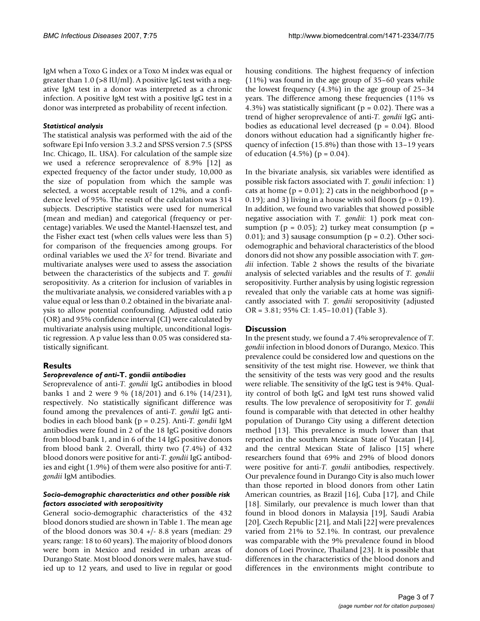IgM when a Toxo G index or a Toxo M index was equal or greater than  $1.0$  ( $>8$  IU/ml). A positive IgG test with a negative IgM test in a donor was interpreted as a chronic infection. A positive IgM test with a positive IgG test in a donor was interpreted as probability of recent infection.

#### *Statistical analysis*

The statistical analysis was performed with the aid of the software Epi Info version 3.3.2 and SPSS version 7.5 (SPSS Inc. Chicago, IL. USA). For calculation of the sample size we used a reference seroprevalence of 8.9% [12] as expected frequency of the factor under study, 10,000 as the size of population from which the sample was selected, a worst acceptable result of 12%, and a confidence level of 95%. The result of the calculation was 314 subjects. Descriptive statistics were used for numerical (mean and median) and categorical (frequency or percentage) variables. We used the Mantel-Haenszel test, and the Fisher exact test (when cells values were less than 5) for comparison of the frequencies among groups. For ordinal variables we used the *X*2 for trend. Bivariate and multivariate analyses were used to assess the association between the characteristics of the subjects and *T. gondii* seropositivity. As a criterion for inclusion of variables in the multivariate analysis, we considered variables with a p value equal or less than 0.2 obtained in the bivariate analysis to allow potential confounding. Adjusted odd ratio (OR) and 95% confidence interval (CI) were calculated by multivariate analysis using multiple, unconditional logistic regression. A p value less than 0.05 was considered statistically significant.

#### **Results**

#### *Seroprevalence of anti-***T. gondii** *antibodies*

Seroprevalence of anti-*T. gondii* IgG antibodies in blood banks 1 and 2 were 9 % (18/201) and 6.1% (14/231), respectively. No statistically significant difference was found among the prevalences of anti-*T. gondii* IgG antibodies in each blood bank (p = 0.25). Anti-*T. gondii* IgM antibodies were found in 2 of the 18 IgG positive donors from blood bank 1, and in 6 of the 14 IgG positive donors from blood bank 2. Overall, thirty two (7.4%) of 432 blood donors were positive for anti-*T. gondii* IgG antibodies and eight (1.9%) of them were also positive for anti-*T. gondii* IgM antibodies.

#### *Socio-demographic characteristics and other possible risk factors associated with seropositivity*

General socio-demographic characteristics of the 432 blood donors studied are shown in Table 1. The mean age of the blood donors was  $30.4$  +/- 8.8 years (median: 29 years; range: 18 to 60 years). The majority of blood donors were born in Mexico and resided in urban areas of Durango State. Most blood donors were males, have studied up to 12 years, and used to live in regular or good housing conditions. The highest frequency of infection (11%) was found in the age group of 35–60 years while the lowest frequency (4.3%) in the age group of 25–34 years. The difference among these frequencies (11% vs 4.3%) was statistically significant ( $p = 0.02$ ). There was a trend of higher seroprevalence of anti-*T. gondii* IgG antibodies as educational level decreased ( $p = 0.04$ ). Blood donors without education had a significantly higher frequency of infection (15.8%) than those with 13–19 years of education  $(4.5\%)$  ( $p = 0.04$ ).

In the bivariate analysis, six variables were identified as possible risk factors associated with *T. gondii* infection: 1) cats at home ( $p = 0.01$ ); 2) cats in the neighborhood ( $p =$  $(0.19)$ ; and 3) living in a house with soil floors ( $p = 0.19$ ). In addition, we found two variables that showed possible negative association with *T. gondii*: 1) pork meat consumption ( $p = 0.05$ ); 2) turkey meat consumption ( $p =$  $(0.01)$ ; and 3) sausage consumption ( $p = 0.2$ ). Other sociodemographic and behavioral characteristics of the blood donors did not show any possible association with *T. gondii* infection. Table 2 shows the results of the bivariate analysis of selected variables and the results of *T. gondii* seropositivity. Further analysis by using logistic regression revealed that only the variable cats at home was significantly associated with *T. gondii* seropositivity (adjusted OR = 3.81; 95% CI: 1.45–10.01) (Table 3).

#### **Discussion**

In the present study, we found a 7.4% seroprevalence of *T. gondii* infection in blood donors of Durango, Mexico. This prevalence could be considered low and questions on the sensitivity of the test might rise. However, we think that the sensitivity of the tests was very good and the results were reliable. The sensitivity of the IgG test is 94%. Quality control of both IgG and IgM test runs showed valid results. The low prevalence of seropositivity for *T. gondii* found is comparable with that detected in other healthy population of Durango City using a different detection method [13]. This prevalence is much lower than that reported in the southern Mexican State of Yucatan [\[14](#page-5-0)], and the central Mexican State of Jalisco [15] where researchers found that 69% and 29% of blood donors were positive for anti-*T. gondii* antibodies, respectively. Our prevalence found in Durango City is also much lower than those reported in blood donors from other Latin American countries, as Brazil [\[16](#page-5-1)], Cuba [17], and Chile [18]. Similarly, our prevalence is much lower than that found in blood donors in Malaysia [19], Saudi Arabia [[20](#page-6-0)], Czech Republic [21], and Mali [22] were prevalences varied from 21% to 52.1%. In contrast, our prevalence was comparable with the 9% prevalence found in blood donors of Loei Province, Thailand [[23](#page-6-1)]. It is possible that differences in the characteristics of the blood donors and differences in the environments might contribute to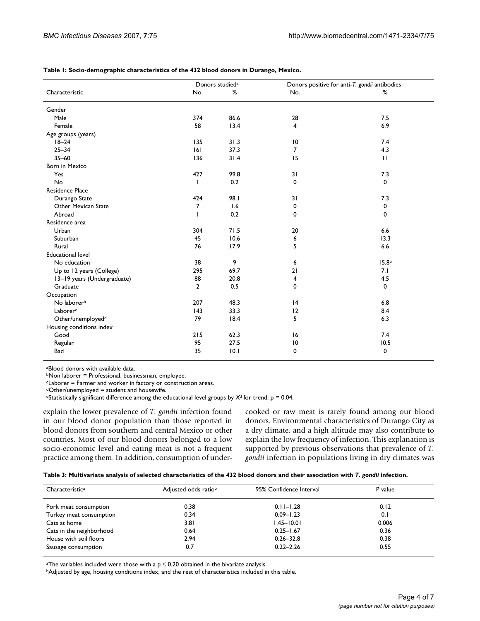| Table 1: Socio-demographic characteristics of the 432 blood donors in Durango, Mexico. |  |  |  |
|----------------------------------------------------------------------------------------|--|--|--|
|----------------------------------------------------------------------------------------|--|--|--|

| Characteristic                | Donors studied <sup>a</sup> |      | Donors positive for anti-T. gondii antibodies |                   |
|-------------------------------|-----------------------------|------|-----------------------------------------------|-------------------|
|                               | No.                         | %    | No.                                           | %                 |
| Gender                        |                             |      |                                               |                   |
| Male                          | 374                         | 86.6 | 28                                            | 7.5               |
| Female                        | 58                          | 13.4 | 4                                             | 6.9               |
| Age groups (years)            |                             |      |                                               |                   |
| $18 - 24$                     | 135                         | 31.3 | $\overline{10}$                               | 7.4               |
| $25 - 34$                     | 6                           | 37.3 | $\overline{7}$                                | 4.3               |
| $35 - 60$                     | 136                         | 31.4 | 15                                            | $\mathbf{H}$      |
| <b>Born in Mexico</b>         |                             |      |                                               |                   |
| Yes                           | 427                         | 99.8 | 31                                            | 7.3               |
| No                            | $\mathbf{I}$                | 0.2  | 0                                             | 0                 |
| <b>Residence Place</b>        |                             |      |                                               |                   |
| Durango State                 | 424                         | 98.I | 31                                            | 7.3               |
| Other Mexican State           | 7                           | 1.6  | 0                                             | 0                 |
| Abroad                        |                             | 0.2  | 0                                             | 0                 |
| Residence area                |                             |      |                                               |                   |
| Urban                         | 304                         | 71.5 | 20                                            | 6.6               |
| Suburban                      | 45                          | 10.6 | 6                                             | 13.3              |
| Rural                         | 76                          | 17.9 | 5                                             | 6.6               |
| <b>Educational level</b>      |                             |      |                                               |                   |
| No education                  | 38                          | 9    | 6                                             | 15.8 <sup>e</sup> |
| Up to 12 years (College)      | 295                         | 69.7 | 21                                            | 7.1               |
| 13-19 years (Undergraduate)   | 88                          | 20.8 | 4                                             | 4.5               |
| Graduate                      | $\overline{2}$              | 0.5  | 0                                             | 0                 |
| Occupation                    |                             |      |                                               |                   |
| No laborer <sup>b</sup>       | 207                         | 48.3 | 4                                             | 6.8               |
| Laborerc                      | 143                         | 33.3 | 12                                            | 8.4               |
| Other/unemployed <sup>d</sup> | 79                          | 18.4 | 5                                             | 6.3               |
| Housing conditions index      |                             |      |                                               |                   |
| Good                          | 215                         | 62.3 | 16                                            | 7.4               |
| Regular                       | 95                          | 27.5 | $\overline{10}$                               | 10.5              |
| Bad                           | 35                          | 10.1 | 0                                             | 0                 |

aBlood donors with available data.

bNon laborer = Professional, businessman, employee.

cLaborer = Farmer and worker in factory or construction areas.

 $d$ Other/unemployed = student and housewife.

eStatistically significant difference among the educational level groups by  $X^2$  for trend:  $p = 0.04$ .

explain the lower prevalence of *T. gondii* infection found in our blood donor population than those reported in blood donors from southern and central Mexico or other countries. Most of our blood donors belonged to a low socio-economic level and eating meat is not a frequent practice among them. In addition, consumption of undercooked or raw meat is rarely found among our blood donors. Environmental characteristics of Durango City as a dry climate, and a high altitude may also contribute to explain the low frequency of infection. This explanation is supported by previous observations that prevalence of *T. gondii* infection in populations living in dry climates was

|  |  | Table 3: Multivariate analysis of selected characteristics of the 432 blood donors and their association with T. gondii infection. |
|--|--|------------------------------------------------------------------------------------------------------------------------------------|
|--|--|------------------------------------------------------------------------------------------------------------------------------------|

| Characteristic <sup>a</sup> | Adjusted odds ratiob | 95% Confidence Interval | P value |
|-----------------------------|----------------------|-------------------------|---------|
| Pork meat consumption       | 0.38                 | $0.11 - 1.28$           | 0.12    |
| Turkey meat consumption     | 0.34                 | $0.09 - 1.23$           | 0.1     |
| Cats at home                | 3.81                 | $1.45 - 10.01$          | 0.006   |
| Cats in the neighborhood    | 0.64                 | $0.25 - 1.67$           | 0.36    |
| House with soil floors      | 2.94                 | $0.26 - 32.8$           | 0.38    |
| Sausage consumption         | 0.7                  | $0.22 - 2.26$           | 0.55    |

<sup>a</sup>The variables included were those with a  $p \le 0.20$  obtained in the bivariate analysis.

bAdjusted by age, housing conditions index, and the rest of characteristics included in this table.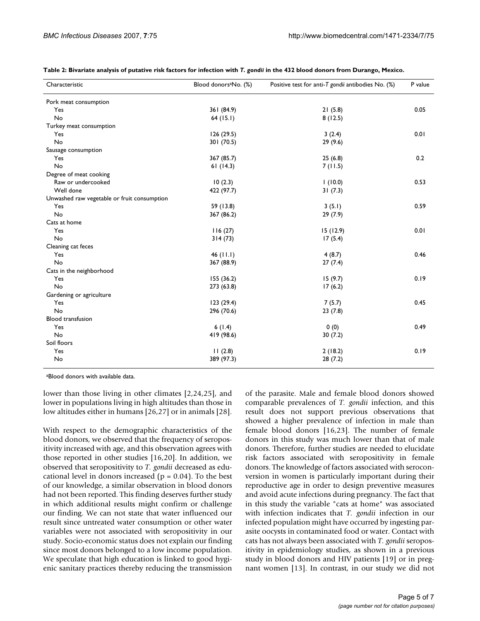| Characteristic                              | Blood donors <sup>a</sup> No. (%) | Positive test for anti-T gondii antibodies No. (%) | P value |
|---------------------------------------------|-----------------------------------|----------------------------------------------------|---------|
| Pork meat consumption                       |                                   |                                                    |         |
| Yes                                         | 361 (84.9)                        | 21(5.8)                                            | 0.05    |
| No                                          | 64(15.1)                          | 8(12.5)                                            |         |
| Turkey meat consumption                     |                                   |                                                    |         |
| Yes                                         | 126 (29.5)                        | 3(2.4)                                             | 0.01    |
| No                                          | 301 (70.5)                        | 29(9.6)                                            |         |
| Sausage consumption                         |                                   |                                                    |         |
| Yes                                         | 367 (85.7)                        | 25(6.8)                                            | 0.2     |
| No                                          | 61(14.3)                          | 7(11.5)                                            |         |
| Degree of meat cooking                      |                                   |                                                    |         |
| Raw or undercooked                          | 10(2.3)                           | 1(10.0)                                            | 0.53    |
| Well done                                   | 422 (97.7)                        | 31(7.3)                                            |         |
| Unwashed raw vegetable or fruit consumption |                                   |                                                    |         |
| Yes                                         | 59 (13.8)                         | 3(5.1)                                             | 0.59    |
| No                                          | 367 (86.2)                        | 29(7.9)                                            |         |
| Cats at home                                |                                   |                                                    |         |
| Yes                                         | 116(27)                           | 15(12.9)                                           | 0.01    |
| No                                          | 314(73)                           | 17(5.4)                                            |         |
| Cleaning cat feces                          |                                   |                                                    |         |
| Yes                                         | 46 $(11.1)$                       | 4(8.7)                                             | 0.46    |
| No                                          | 367 (88.9)                        | 27(7.4)                                            |         |
| Cats in the neighborhood                    |                                   |                                                    |         |
| Yes                                         | 155(36.2)                         | 15(9.7)                                            | 0.19    |
| No                                          | 273 (63.8)                        | 17(6.2)                                            |         |
| Gardening or agriculture                    |                                   |                                                    |         |
| Yes                                         | 123(29.4)                         | 7(5.7)                                             | 0.45    |
| No                                          | 296 (70.6)                        | 23(7.8)                                            |         |
| <b>Blood</b> transfusion                    |                                   |                                                    |         |
| Yes                                         | 6(1.4)                            | 0(0)                                               | 0.49    |
| No                                          | 419 (98.6)                        | 30(7.2)                                            |         |
| Soil floors                                 |                                   |                                                    |         |
| Yes                                         | 11(2.8)                           | 2(18.2)                                            | 0.19    |
| No                                          | 389 (97.3)                        | 28(7.2)                                            |         |
|                                             |                                   |                                                    |         |

Table 2: Bivariate analysis of putative risk factors for infection with *T. gondii* in the 432 blood donors from Durango, Mexico.

aBlood donors with available data.

lower than those living in other climates [2,24,25], and lower in populations living in high altitudes than those in low altitudes either in humans [\[26](#page-6-2),27] or in animals [28].

With respect to the demographic characteristics of the blood donors, we observed that the frequency of seropositivity increased with age, and this observation agrees with those reported in other studies [[16](#page-5-1),[20\]](#page-6-0). In addition, we observed that seropositivity to *T. gondii* decreased as educational level in donors increased ( $p = 0.04$ ). To the best of our knowledge, a similar observation in blood donors had not been reported. This finding deserves further study in which additional results might confirm or challenge our finding. We can not state that water influenced our result since untreated water consumption or other water variables were not associated with seropositivity in our study. Socio-economic status does not explain our finding since most donors belonged to a low income population. We speculate that high education is linked to good hygienic sanitary practices thereby reducing the transmission

of the parasite. Male and female blood donors showed comparable prevalences of *T. gondii* infection, and this result does not support previous observations that showed a higher prevalence of infection in male than female blood donors [\[16](#page-5-1)[,23](#page-6-1)]. The number of female donors in this study was much lower than that of male donors. Therefore, further studies are needed to elucidate risk factors associated with seropositivity in female donors. The knowledge of factors associated with seroconversion in women is particularly important during their reproductive age in order to design preventive measures and avoid acute infections during pregnancy. The fact that in this study the variable "cats at home" was associated with infection indicates that *T. gondii* infection in our infected population might have occurred by ingesting parasite oocysts in contaminated food or water. Contact with cats has not always been associated with *T. gondii* seropositivity in epidemiology studies, as shown in a previous study in blood donors and HIV patients [19] or in pregnant women [13]. In contrast, in our study we did not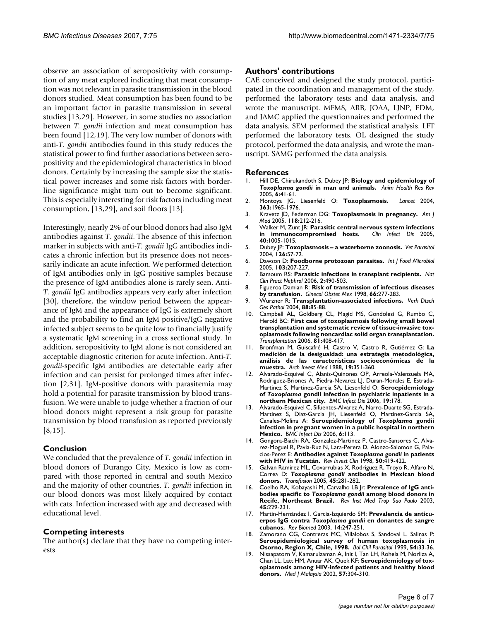observe an association of seropositivity with consumption of any meat explored indicating that meat consumption was not relevant in parasite transmission in the blood donors studied. Meat consumption has been found to be an important factor in parasite transmission in several studies [13,29]. However, in some studies no association between *T. gondii* infection and meat consumption has been found [12,19]. The very low number of donors with anti-*T. gondii* antibodies found in this study reduces the statistical power to find further associations between seropositivity and the epidemiological characteristics in blood donors. Certainly by increasing the sample size the statistical power increases and some risk factors with borderline significance might turn out to become significant. This is especially interesting for risk factors including meat consumption, [13,29], and soil floors [13].

Interestingly, nearly 2% of our blood donors had also IgM antibodies against *T. gondii*. The absence of this infection marker in subjects with anti-*T. gondii* IgG antibodies indicates a chronic infection but its presence does not necessarily indicate an acute infection. We performed detection of IgM antibodies only in IgG positive samples because the presence of IgM antibodies alone is rarely seen. Anti-*T. gondii* IgG antibodies appears very early after infection [30], therefore, the window period between the appearance of IgM and the appearance of IgG is extremely short and the probability to find an IgM positive/IgG negative infected subject seems to be quite low to financially justify a systematic IgM screening in a cross sectional study. In addition, seropositivity to IgM alone is not considered an acceptable diagnostic criterion for acute infection. Anti-*T. gondii*-specific IgM antibodies are detectable early after infection and can persist for prolonged times after infection [2,31]. IgM-positive donors with parasitemia may hold a potential for parasite transmission by blood transfusion. We were unable to judge whether a fraction of our blood donors might represent a risk group for parasite transmission by blood transfusion as reported previously [8,15].

#### **Conclusion**

We concluded that the prevalence of *T. gondii* infection in blood donors of Durango City, Mexico is low as compared with those reported in central and south Mexico and the majority of other countries. *T. gondii* infection in our blood donors was most likely acquired by contact with cats. Infection increased with age and decreased with educational level.

#### **Competing interests**

The author(s) declare that they have no competing interests.

#### **Authors' contributions**

CAE conceived and designed the study protocol, participated in the coordination and management of the study, performed the laboratory tests and data analysis, and wrote the manuscript. MFMS, ARB, JOAA, LJNP, EDM, and JAMC applied the questionnaires and performed the data analysis. SEM performed the statistical analysis. LFT performed the laboratory tests. OL designed the study protocol, performed the data analysis, and wrote the manuscript. SAMG performed the data analysis.

#### **References**

- 1. Hill DE, Chirukandoth S, Dubey JP: **Biology and epidemiology of** *Toxoplasma gondii* **[in man and animals.](http://www.ncbi.nlm.nih.gov/entrez/query.fcgi?cmd=Retrieve&db=PubMed&dopt=Abstract&list_uids=16164008)** *Anim Health Res Rev* 2005, **6:**41-61.
- 2. Montoya JG, Liesenfeld O: **[Toxoplasmosis.](http://www.ncbi.nlm.nih.gov/entrez/query.fcgi?cmd=Retrieve&db=PubMed&dopt=Abstract&list_uids=15194258)** *Lancet* 2004, **363:**1965-1976.
- 3. Kravetz JD, Federman DG: **[Toxoplasmosis in pregnancy.](http://www.ncbi.nlm.nih.gov/entrez/query.fcgi?cmd=Retrieve&db=PubMed&dopt=Abstract&list_uids=15745715)** *Am J Med* 2005, **118:**212-216.
- 4. Walker M, Zunt JR: **[Parasitic central nervous system infections](http://www.ncbi.nlm.nih.gov/entrez/query.fcgi?cmd=Retrieve&db=PubMed&dopt=Abstract&list_uids=15824993)** [in immunocompromised hosts.](http://www.ncbi.nlm.nih.gov/entrez/query.fcgi?cmd=Retrieve&db=PubMed&dopt=Abstract&list_uids=15824993) **40:**1005-1015.
- 5. Dubey JP: **[Toxoplasmosis a waterborne zoonosis.](http://www.ncbi.nlm.nih.gov/entrez/query.fcgi?cmd=Retrieve&db=PubMed&dopt=Abstract&list_uids=15567579)** *Vet Parasitol* 2004, **126:**57-72.
- 6. Dawson D: **[Foodborne protozoan parasites.](http://www.ncbi.nlm.nih.gov/entrez/query.fcgi?cmd=Retrieve&db=PubMed&dopt=Abstract&list_uids=16083823)** *Int J Food Microbiol* 2005, **103:**207-227.
- 7. Barsoum RS: **[Parasitic infections in transplant recipients.](http://www.ncbi.nlm.nih.gov/entrez/query.fcgi?cmd=Retrieve&db=PubMed&dopt=Abstract&list_uids=16941042)** *Nat Clin Pract Nephrol* 2006, **2:**490-503.
- 8. Figueroa Damian R: **[Risk of transmission of infectious diseases](http://www.ncbi.nlm.nih.gov/entrez/query.fcgi?cmd=Retrieve&db=PubMed&dopt=Abstract&list_uids=9737068) [by transfusion.](http://www.ncbi.nlm.nih.gov/entrez/query.fcgi?cmd=Retrieve&db=PubMed&dopt=Abstract&list_uids=9737068)** *Ginecol Obstet Mex* 1998, **66:**277-283.
- 9. Wurzner R: **[Transplantation-associated infections.](http://www.ncbi.nlm.nih.gov/entrez/query.fcgi?cmd=Retrieve&db=PubMed&dopt=Abstract&list_uids=16892537)** *Verh Dtsch Ges Pathol* 2004, **88:**85-88.
- 10. Campbell AL, Goldberg CL, Magid MS, Gondolesi G, Rumbo C, Herold BC: **[First case of toxoplasmosis following small bowel](http://www.ncbi.nlm.nih.gov/entrez/query.fcgi?cmd=Retrieve&db=PubMed&dopt=Abstract&list_uids=16477228) [transplantation and systematic review of tissue-invasive tox](http://www.ncbi.nlm.nih.gov/entrez/query.fcgi?cmd=Retrieve&db=PubMed&dopt=Abstract&list_uids=16477228)oplasmosis following noncardiac solid organ transplantation.** *Transplantation* 2006, **81:**408-417.
- 11. Bronfman M, Guiscafré H, Castro V, Castro R, Gutiérrez G: **La medición de la desigualdad: una estrategia metodológica, análisis de las características socioeconómicas de la muestra.** *Arch Invest Med* 1988, **19:**351-360.
- 12. Alvarado-Esquivel C, Alanis-Quinones OP, Arreola-Valenzuela MA, Rodriguez-Briones A, Piedra-Nevarez LJ, Duran-Morales E, Estrada-Martinez S, Martinez-Garcia SA, Liesenfeld O: **Seroepidemiology of** *Toxoplasma* **gondii infection in psychiatric inpatients in a northern Mexican city.** *BMC Infect Dis* 2006, **19:**178.
- 13. Alvarado-Esquivel C, Sifuentes-Alvarez A, Narro-Duarte SG, Estrada-Martinez S, Diaz-Garcia JH, Liesenfeld O, Martinez-Garcia SA, Canales-Molina A: **Seroepidemiology of** *Toxoplasma* **[gondii](http://www.ncbi.nlm.nih.gov/entrez/query.fcgi?cmd=Retrieve&db=PubMed&dopt=Abstract&list_uids=16839423) [infection in pregnant women in a public hospital in northern](http://www.ncbi.nlm.nih.gov/entrez/query.fcgi?cmd=Retrieve&db=PubMed&dopt=Abstract&list_uids=16839423) [Mexico.](http://www.ncbi.nlm.nih.gov/entrez/query.fcgi?cmd=Retrieve&db=PubMed&dopt=Abstract&list_uids=16839423)** *BMC Infect Dis* 2006, **6:**113.
- <span id="page-5-0"></span>14. Gongora-Biachi RA, Gonzalez-Martinez P, Castro-Sansores C, Alvarez-Moguel R, Pavia-Ruz N, Lara-Perera D, Alonzo-Salomon G, Palacios-Perez E: **Antibodies against** *Toxoplasma gondii* **[in patients](http://www.ncbi.nlm.nih.gov/entrez/query.fcgi?cmd=Retrieve&db=PubMed&dopt=Abstract&list_uids=9949673) [with HIV in Yucatán.](http://www.ncbi.nlm.nih.gov/entrez/query.fcgi?cmd=Retrieve&db=PubMed&dopt=Abstract&list_uids=9949673)** *Rev Invest Clin* 1998, **50:**419-422.
- 15. Galvan Ramirez ML, Covarrubias X, Rodriguez R, Troyo R, Alfaro N, Correa D: *Toxoplasma gondii* **[antibodies in Mexican blood](http://www.ncbi.nlm.nih.gov/entrez/query.fcgi?cmd=Retrieve&db=PubMed&dopt=Abstract&list_uids=15660841) [donors.](http://www.ncbi.nlm.nih.gov/entrez/query.fcgi?cmd=Retrieve&db=PubMed&dopt=Abstract&list_uids=15660841)** *Transfusion* 2005, **45:**281-282.
- <span id="page-5-1"></span>16. Coelho RA, Kobayashi M, Carvalho LB Jr: Prevalence of IgG anti**bodies specific to** *Toxoplasma gondii* **[among blood donors in](http://www.ncbi.nlm.nih.gov/entrez/query.fcgi?cmd=Retrieve&db=PubMed&dopt=Abstract&list_uids=14502353) [Recife, Northeast Brazil.](http://www.ncbi.nlm.nih.gov/entrez/query.fcgi?cmd=Retrieve&db=PubMed&dopt=Abstract&list_uids=14502353)** *Rev Inst Med Trop Sao Paulo* 2003, **45:**229-231.
- 17. Martín-Hernández I, García-Izquierdo SM: **Prevalencia de anticuerpos IgG contra** *Toxoplasma gondii* **en donantes de sangre cubanos.** *Rev Biomed* 2003, **14:**247-251.
- 18. Zamorano CG, Contreras MC, Villalobos S, Sandoval L, Salinas P: **[Seroepidemiological survey of human toxoplasmosis in](http://www.ncbi.nlm.nih.gov/entrez/query.fcgi?cmd=Retrieve&db=PubMed&dopt=Abstract&list_uids=10488589) [Osorno, Region X, Chile, 1998.](http://www.ncbi.nlm.nih.gov/entrez/query.fcgi?cmd=Retrieve&db=PubMed&dopt=Abstract&list_uids=10488589)** *Bol Chil Parasitol* 1999, **54:**33-36.
- 19. Nissapatorn V, Kamarulzaman A, Init I, Tan LH, Rohela M, Norliza A, Chan LL, Latt HM, Anuar AK, Quek KF: **[Seroepidemiology of tox](http://www.ncbi.nlm.nih.gov/entrez/query.fcgi?cmd=Retrieve&db=PubMed&dopt=Abstract&list_uids=12440270)[oplasmosis among HIV-infected patients and healthy blood](http://www.ncbi.nlm.nih.gov/entrez/query.fcgi?cmd=Retrieve&db=PubMed&dopt=Abstract&list_uids=12440270) [donors.](http://www.ncbi.nlm.nih.gov/entrez/query.fcgi?cmd=Retrieve&db=PubMed&dopt=Abstract&list_uids=12440270)** *Med J Malaysia* 2002, **57:**304-310.